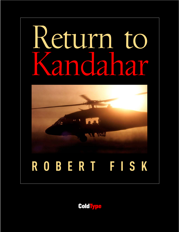# Return to Kandahar



Cold Type<br>Experience of the Cold Type<br>Cold Type Cold **Type**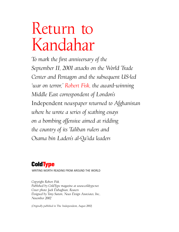### Return to Kandahar

*To mark the first anniversary of the September 11, 2001 attacks on the World Trade Center and Pentagon and the subsequent US-led 'war on terror,' Robert Fisk, the award-winning Middle East correspondent of London's* Independent *newspaper returned to Afghanistan where he wrote a series of scathing essays on a bombing offensive aimed at ridding the country of its Taliban rulers and Osama bin Laden's al-Qa'ida leaders*

### **ColdType**

WRITING WORTH READING FROM AROUND THE WORLD

*Copyright Robert Fisk. Published by ColdType magazine at www.coldtype.net Cover photo: Jack Dabaghian, Reuters Designed by Tony Sutton, News Design Associates, Inc., November 2002*

*(Originally published in* The Independent, *August 2002)*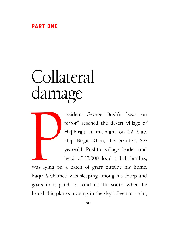# Collateral damage

Was lying on

resident George Bush's "war on terror" reached the desert village of Hajibirgit at midnight on 22 May. Haji Birgit Khan, the bearded, 85 year-old Pushtu village leader and head of 12,000 local tribal families,

was lying on a patch of grass outside his home. Faqir Mohamed was sleeping among his sheep and goats in a patch of sand to the south when he heard "big planes moving in the sky". Even at night,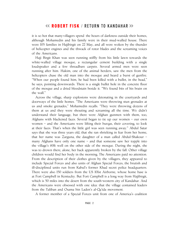it is so hot that many villagers spend the hours of darkness outside their homes, although Mohamedin and his family were in their mud-walled house. There were 105 families in Hajibirgit on 22 May, and all were woken by the thunder of helicopter engines and the thwack of rotor blades and the screaming voices of the Americans.

Haji Birgit Khan was seen running stiffly from his little lawn towards the white-walled village mosque, a rectangular cement building with a single loudspeaker and a few threadbare carpets. Several armed men were seen running after him. Hakim, one of the animal herders, saw the men from the helicopters chase the old man into the mosque and heard a burst of gunfire. "When our people found him, he had been killed with a bullet, in the head," he says, pointing downwards. There is a single bullet hole in the concrete floor of the mosque and a dried bloodstain beside it. "We found bits of his brain on the wall."

Across the village, sharp explosions were detonating in the courtyards and doorways of the little homes. "The Americans were throwing stun grenades at us and smoke grenades," Mohamedin recalls. "They were throwing dozens of them at us and they were shouting and screaming all the time. We didn't understand their language, but there were Afghan gunmen with them, too, Afghans with blackened faces. Several began to tie up our women – our own women – and the Americans were lifting their burqas, their covering, to look at their faces. That's when the little girl was seen running away." Abdul Satar says that she was three years old, that she ran shrieking in fear from her home, that her name was Zarguna, the daughter of a man called Abdul-Shakour – many Afghans have only one name – and that someone saw her topple into the village's 60ft well on the other side of the mosque. During the night, she was to drown there, alone, her back apparently broken by the fall. Other village children would find her body in the morning. The Americans paid no attention. From the description of their clothes given by the villagers, they appeared to include Special Forces and also units of Afghan Special Forces, the brutish and ill-disciplined units run from Kabul's former Khad secret police headquarters. There were also 150 soldiers from the US 101st Airborne, whose home base is at Fort Campbell in Kentucky. But Fort Campbell is a long way from Hajibirgit, which is 50 miles into the desert from the south-western city of Kandahar. And the Americans were obsessed with one idea: that the village contained leaders from the Taliban and Osama bin Laden's al-Qa'ida movement.

A former member of a Special Forces unit from one of America's coalition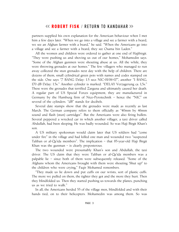partners supplied his own explanation for the American behaviour when I met him a few days later. "When we go into a village and see a farmer with a beard, we see an Afghan farmer with a beard," he said. "When the Americans go into a village and see a farmer with a beard, they see Osama bin Laden."

All the women and children were ordered to gather at one end of Hajibirgit. "They were pushing us and shoving us out of our homes," Mohamedin says. "Some of the Afghan gunmen were shouting abuse at us. All the while, they were throwing grenades at our homes." The few villagers who managed to run away collected the stun grenades next day with the help of children. There are dozens of them, small cylindrical green pots with names and codes stamped on the side. One says "7 BANG Delay: 1.5 secs NIC-01/06-07", another "1 BANG, 170 dB Delay: 1.5s." Another cylinder is marked: "DELAY Verzagerung ca. 1,5s." These were the grenades that terrified Zarguna and ultimately caused her death. A regular part of US Special Forces equipment, they are manufactured in Germany by the Hamburg firm of Nico-Pyrotechnik – hence the "NIC" on several of the cylinders. "dB" stands for decibels.

Several date stamps show that the grenades were made as recently as last March. The German company refers to them officially as "40mm by 46mm sound and flash (stun) cartridges". But the Americans were also firing bullets. Several peppered a wrecked car in which another villager, a taxi driver called Abdullah, had been sleeping. He was badly wounded. So was Haji Birgit Khan's son.

A US military spokesman would claim later that US soldiers had "come under fire" in the village and had killed one man and wounded two "suspected Taliban or al-Qa'ida members". The implication – that 85-year-old Haji Birgit Khan was the gunman – is clearly preposterous.

The two wounded were presumably Khan's son and Abdullah, the taxi driver. The US claim that they were Taliban or al-Qa'ida members was a palpable lie – since both of them were subsequently released. "Some of the Afghans whom the Americans brought with them were shouting 'Shut up!' to the children who were crying," Faqir Mohamed remembers.

"They made us lie down and put cuffs on our wrists, sort of plastic cuffs. The more we pulled on them, the tighter they got and the more they hurt. Then they blindfolded us. Then they started pushing us towards the planes, punching us as we tried to walk."

In all, the Americans herded 55 of the village men, blindfolded and with their hands tied, on to their helicopters. Mohamedin was among them. So was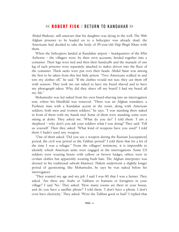Abdul-Shakour, still unaware that his daughter was dying in the well. The 56th Afghan prisoner to be loaded on to a helicopter was already dead: the Americans had decided to take the body of 85-year-old Haji Birgit Khan with them.

When the helicopters landed at Kandahar airport – headquarters of the 101st Airborne – the villagers were, by their own accounts, herded together into a container. Their legs were tied and then their handcuffs and the manacle of one leg of each prisoner were separately attached to stakes driven into the floor of the container. Thick sacks were put over their heads. Abdul Satar was among the first to be taken from this hot little prison. "Two Americans walked in and tore my clothes off," he said. "If the clothes would not tear, they cut them off with scissors. They took me out naked to have my beard shaved and to have my photograph taken. Why did they shave off my beard? I had my beard all my life."

Mohamedin was led naked from his own beard-shaving into an interrogation tent, where his blindfold was removed. "There was an Afghan translator, a Pushtun man with a Kandahar accent in the room, along with American soldiers, both men and women soldiers," he says. "I was standing there naked in front of them with my hands tied. Some of them were standing, some were sitting at desks. They asked me: 'What do you do?' I told them: 'I am a shepherd – why don't you ask your soldiers what I was doing?' They said: 'Tell us yourself.' Then they asked: 'What kind of weapons have you used?' I told them I hadn't used any weapon.

"One of them asked: 'Did you use a weapon during the Russian [occupation] period, the civil war period or the Taliban period?' I told them that for a lot of the time I was a refugee." From the villagers' testimony, it is impossible to identify which American units were engaged in the interrogations. Some US soldiers were wearing berets with yellow or brown badges, others were in civilian clothes but apparently wearing bush hats. The Afghan interpreter was dressed in his traditional salwah khameez. Hakim underwent a slightly longer period of questioning; like Mohamedin, he says he was naked before his interrogators.

"They wanted my age and my job. I said I was 60, that I was a farmer. They asked: 'Are there any Arabs or Talibans or Iranians or foreigners in your village?' I said 'No.' They asked: 'How many rooms are there in your house, and do you have a satellite phone?' I told them: 'I don't have a phone. I don't even have electricity.' They asked: 'Were the Taliban good or bad?' I replied that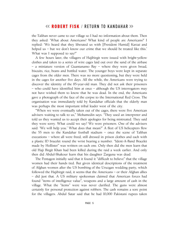the Taliban never came to our village so I had no information about them. Then they asked: 'What about Americans? What kind of people are Americans?' I replied: 'We heard that they liberated us with [President Hamid] Karzai and helped us – but we don't know our crime that we should be treated like this.' What was I supposed to say?"

A few hours later, the villagers of Hajibirgit were issued with bright-yellow clothes and taken to a series of wire cages laid out over the sand of the airbase – a miniature version of Guantanamo Bay – where they were given bread, biscuits, rice, beans and bottled water. The younger boys were kept in separate cages from the older men. There was no more questioning, but they were held in the cages for another five days. All the while, the Americans were trying to discover the identity of the 85-year-old man. They did not ask their prisoners – who could have identified him at once – although the US interrogators may not have wished them to know that he was dead. In the end, the Americans gave a photograph of the face of the corpse to the International Red Cross. The organisation was immediately told by Kandahar officials that the elderly man was perhaps the most important tribal leader west of the city.

"When we were eventually taken out of the cages, there were five American advisers waiting to talk to us," Mohamedin says. "They used an interpreter and told us they wanted us to accept their apologies for being mistreated. They said they were sorry. What could we say? We were prisoners. One of the advisers said: 'We will help you.' What does that mean?" A fleet of US helicopters flew the 55 men to the Kandahar football stadium – once the scene of Taliban executions – where all were freed, still dressed in prison clothes and each with a plastic ID bracelet round the wrist bearing a number. "Ident-A-Band Bracelet made by Hollister" was written on each one. Only then did the men learn that old Haji Birgit Khan had been killed during the raid a week earlier. And only then did Abdul-Shakour learn that his daughter Zarguna was dead.

The Pentagon initially said that it found it "difficult to believe" that the village women had their hands tied. But given identical descriptions of the treatment of Afghan women after the US bombing of the Uruzgan wedding party, which followed the Hajibirgit raid, it seems that the Americans – or their Afghan allies – did just that. A US military spokesman claimed that American forces had found "items of intelligence value", weapons and a large amount of cash in the village. What the "items" were was never clarified. The guns were almost certainly for personal protection against robbers. The cash remains a sore point for the villagers. Abdul Satar said that he had 10,000 Pakistani rupees taken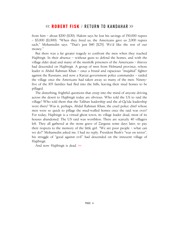from him – about \$200 (£130). Hakim says he lost his savings of 150,000 rupees – \$3,000 (£1,900). "When they freed us, the Americans gave us 2,000 rupees each," Mohamedin says. "That's just \$40 [£25]. We'd like the rest of our money."

But there was a far greater tragedy to confront the men when they reached Hajibirgit. In their absence – without guns to defend the homes, and with the village elder dead and many of the menfolk prisoners of the Americans – thieves had descended on Hajibirgit. A group of men from Helmand province, whose leader is Abdul Rahman Khan – once a brutal and rapacious "mujahid" fighter against the Russians, and now a Karzai government police commander – raided the village once the Americans had taken away so many of the men. Ninetyfive of the 105 families had fled into the hills, leaving their mud homes to be pillaged.

The disturbing, frightful questions that creep into the mind of anyone driving across the desert to Hajibirgit today are obvious. Who told the US to raid the village? Who told them that the Taliban leadership and the al-Qa'ida leadership were there? Was it, perhaps, Abdul Rahman Khan, the cruel police chief whose men were so quick to pillage the mud-walled homes once the raid was over? For today, Hajibirgit is a virtual ghost town, its village leader dead, most of its houses abandoned. The US raid was worthless. There are scarcely 40 villagers left. They all gathered at the stone grave of Zarguna some days later, to pay their respects to the memory of the little girl. "We are poor people – what can we do?" Mohamedin asked me. I had no reply. President Bush's "war on terror", his struggle of "good against evil" had descended on the innocent village of Hajibirgit.

And now Hajibirgit is dead. >>>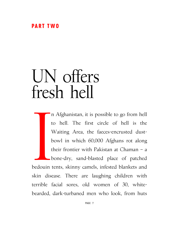### UN offers fresh hell

t<br>
I<br>
I<br>
I<br>
Bedouin<br>
I<br>
Sire<br>
Sire<br>
Sire<br>
Sire<br>
Sire<br>
Sire<br>
Sire<br>
Sire<br>
Sire<br>
Sire<br>
Sire<br>
Sire<br>
Sire<br>
Sire<br>
Sire<br>
Sire<br>
Sire<br>
Sire<br>
Sire<br>
Sire<br>
Sire<br>
Sire<br>
Sire<br>
Sire<br>
Sire<br>
Sire<br>
Sire<br>
Sire<br>
Sire<br>
Sire<br>
Sire<br>
Sire<br>
Sire<br> n Afghanistan, it is possible to go from hell to hell. The first circle of hell is the Waiting Area, the faeces-encrusted dustbowl in which 60,000 Afghans rot along their frontier with Pakistan at Chaman – a bone-dry, sand-blasted place of patched bedouin tents, skinny camels, infested blankets and skin disease. There are laughing children with terrible facial sores, old women of 30, whitebearded, dark-turbaned men who look, from huts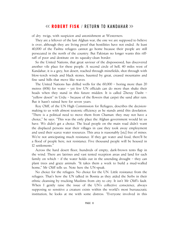of dry twigs, with suspicion and astonishment at Westerners.

They are a leftover of the last Afghan war, the one we are supposed to believe is over, although they are living proof that hostilities have not ended. At least 40,000 of the Pashtu refugees cannot go home because their people are still persecuted in the north of the country. But Pakistan no longer wants this riffraff of poor and destitute on its squeaky-clean border.

So the United Nations, that great saviour of the dispossessed, has discovered another vile place for these people. A second circle of hell, 40 miles west of Kandahar, it is a grey, hot desert, reached through minefields, shot through with blow-torch winds and black stones, haunted by great, creased mountains and fine sand hills that move like waves.

The United Nations has drilled wells for the 60,000 – boring more than 20 metres (60ft) for water – yet few UN officials can do more than shake their heads when they stand in this future midden. It is called Zheray Dasht – "yellow desert" in Urdu – because of the flowers that carpet the sand after rain. But it hasn't rained here for seven years.

Roy Oliff, of the UN High Commission for Refugees, describes the decisionmaking to us with almost teutonic efficiency as he stands amid this desolation. "There is a political need to move them from Chaman: they may not have a choice," he says. "This was the only place the Afghan government would let us have. We didn't get a choice. The local people on the main road didn't want the displaced persons near their villages in case they took away employment and used their scarce water resources. This area is reasonably [sic] free of mines. We're not anticipating much resistance. If they get water and food, there'll be a flood of people here, not resistance. Five thousand people will be housed in 12 settlements."

Across the hard desert floor, hundreds of empty, dark-brown tents flap in the wind. There are latrines and vast tented reception areas and land for each family on which – if the water holds out in the unending drought – they can plant trees and graze animals. "It takes them a week to build a mud-walled home," Mr Oliff tells us. Note here the UN-speak.

No choice for the refugees. No choice for the UN. Little resistance from the refugees. That's how the UN talked in Bosnia as they aided the Serbs in their ethnic cleansing by trucking Muslims from city to city. It isn't Mr Oliff's fault. When I gently raise the issue of the UN's collective conscience, always supposing so sensitive a creature exists within the world's most bureaucratic institution, he looks at me with some distress. "Everyone involved in this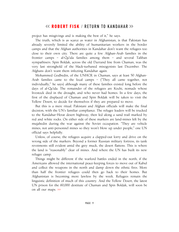project has misgivings and is making the best of it," he says.

The truth, which is as scarce as water in Afghanistan, is that Pakistan has already severely limited the ability of humanitarian workers in the border camps and that the Afghan authorities in Kandahar don't want the refugees too close to their own city. There are quite a few Afghan-Arab families in the frontier camps – al-Qa'ida families among them – and several Taliban sympathisers. Spin Boldak, across the old Durrand line from Chaman, was the very last stronghold of the black-turbaned misogynists last December. The Afghans don't want them infecting Kandahar again.

Mohammed Godbedin, of the UNHCR in Chaman, says at least 50 Afghan-Arab families came to the local camps – ("They all came together, not individually," he says) although many of these families existed long before the days of al-Qa'ida. The remainder of the refugees are Kochi, nomads whose livestock died in the drought, and who never had homes. In a few days, the first of the displaced of Chaman and Spin Boldak will be taken to visit the Yellow Desert, to decide for themselves if they are prepared to move.

But this is a mere ritual. Pakistani and Afghan officials will make the final decision, with the UN's familiar compliance. The refugee leaders will be trucked to the Kandahar-Herat desert highway, then led along a sand trail marked by red and white rocks. On either side of these markers are land-mines left by the mujahedin during the war against the Soviet occupation. "They are vehicle mines, not anti-personnel mines so they won't blow up under people," one UN official says helpfully.

Unless, of course, the refugees acquire a clapped-out lorry and drive on the wrong side of the markers. Beyond a former Russian military fortress, its tank revetments still evident amid the grey muck, the desert flattens. This is where the land is "reasonably" clear of mines. And where the UN has built its new refugee camp.

Things might be different if the warlord battles ended in the north, if the Americans allowed the international peace-keeping forces to move out of Kabul and collect the weapons in the north and damp down the ethnic fires. More than half the frontier refugees could then go back to their homes. But Afghanistan is becoming more lawless by the week. Refugees remain the linguistic definition of much of this country. And the Yellow Desert, the latest UN prison for the 60,000 destitute of Chaman and Spin Boldak, will soon be on all our maps.  $\gg$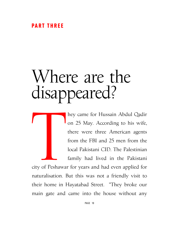### PART THRFF

## Where are the disappeared?



hey came for Hussain Abdul Qadir on 25 May. According to his wife, there were three American agents from the FBI and 25 men from the local Pakistani CID. The Palestinian family had lived in the Pakistani

city of Peshawar for years and had even applied for naturalisation. But this was not a friendly visit to their home in Hayatabad Street. "They broke our main gate and came into the house without any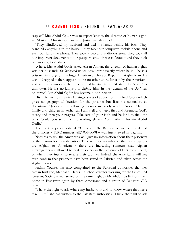respect," Mrs Abdul Qadir was to report later to the director of human rights at Pakistan's Ministry of Law and Justice in Islamabad.

"They blindfolded my husband and tied his hands behind his back. They searched everything in the house – they took our computer, mobile phone and even our land-line phone. They took video and audio cassettes. They took all our important documents – our passports and other certificates – and they took our money, too," she said.

Where, Mrs Abdul Qadir asked Ahsan Akhtar, the director of human rights, was her husband? *The Independent* has now learnt exactly where he is – he is a prisoner in a cage on the huge American air base at Bagram in Afghanistan. He was kidnapped – there appears to be no other word for it – by the Americans and simply flown over the international frontier from Pakistan. His "crime" is unknown. He has no lawyers to defend him. In the vacuum of the US "war on terror", Mr Abdul Qadir has become a non-person.

His wife has now received a single sheet of paper from the Red Cross which gives no geographical location for the prisoner but lists his nationality as "Palastinian" (sic) and the following message in poorly-written Arabic: "To the family and children in Peshawar. I am well and need, first and foremost, God's mercy and then your prayers. Take care of your faith and be kind to the little ones. Could you send me my reading glasses? Your father: Hussain Abdul Qadir."

The sheet of paper is dated 29 June and the Red Cross has confirmed that the prisoner – ICRC number AB7 001486-01 – was interviewed in Bagram.

Needless to say, the Americans will give no information about their prisoners or the reasons for their detention. They will not say whether their interrogators are Afghan or American – there are increasing rumours that Afghan interrogators are allowed to beat prisoners in the presence of CIA men – or if, or when, they intend to release their captives. Indeed, the Americans will not even confirm that prisoners have been seized in Pakistan and taken across the Afghan border.

Fatima Youssef has also complained to the Pakistani authorities that her Syrian husband, Manhal al-Hariri – a school director working for the Saudi Red Crescent Society – was seized on the same night as Mr Abdul Qadir from their home in Peshawar, again by three Americans and a group of Pakistani CID men.

"I have the right to ask where my husband is and to know where they have taken him," she has written to the Pakistani authorities. "I have the right to ask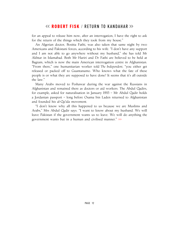for an appeal to release him now, after an interrogation, I have the right to ask for the return of the things which they took from my house."

An Algerian doctor, Bositta Fathi, was also taken that same night by two Americans and Pakistani forces, according to his wife. "I don't have any support and I am not able to go anywhere without my husband," she has told Mr Akhtar in Islamabad. Both Mr Hariri and Dr Fathi are believed to be held at Bagram, which is now the main American interrogation centre in Afghanistan. "From there," one humanitarian worker told *The Independent,* "you either get released or packed off to Guantanamo. Who knows what the fate of these people is or what they are supposed to have done? It seems that it's all outside the law."

Many Arabs moved to Peshawar during the war against the Russians in Afghanistan and remained there as doctors or aid workers. The Abdul Qadirs, for example, asked for naturalisation in January 1993 – Mr Abdul Qadir holds a Jordanian passport – long before Osama bin Laden returned to Afghanistan and founded his al-Qa'ida movement.

"I don't know why all this happened to us because we are Muslims and Arabs," Mrs Abdul Qadir says. "I want to know about my husband. We will leave Pakistan if the government wants us to leave. We will do anything the government wants but in a human and civilised manner." >>>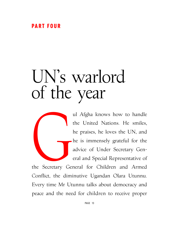## UN's warlord of the year



ul Afgha knows how to handle<br>the United Nations. He smiles,<br>he praises, he loves the UN, and<br>he is immensely grateful for the<br>advice of Under Secretary Gen-<br>eral and Special Representative of<br>the Secretary General for Chil the United Nations. He smiles, he praises, he loves the UN, and he is immensely grateful for the advice of Under Secretary General and Special Representative of

the Secretary General for Children and Armed Conflict, the diminutive Ugandan Olara Utunnu. Every time Mr Utunnu talks about democracy and peace and the need for children to receive proper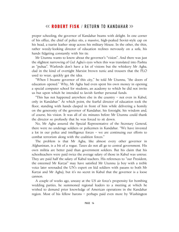proper schooling, the governor of Kandahar beams with delight. In one corner of his office, the chief of police sits, a massive, high-peaked Soviet-style cap on his head, a tsarist leather strap across his military blouse. In the other, the thin, rather weedy-looking director of education reclines nervously on a sofa, his hands fidgeting constantly with his tie.

Mr Utunnu wants to know about the governor's "vision". And there was just the slightest narrowing of Gul Agha's eyes when this was translated into Pashtu as "puhaa". Warlords don't have a lot of visions but the whiskery Mr Agha, clad in the kind of overtight Marxist brown tunic and trousers that the PLO used to wear, quickly got the idea.

"When I became governor of this city," he told Mr Utunnu, "the doors of education opened." Why, Mr Agha had even spent his own money in opening a special computer school for students, an academy to which he did not invite us but upon which he intended to lavish further personal funds.

"This has not happened anywhere else in the country – not even in Kabul, only in Kandahar." At which point, the fearful director of education took the floor, standing with hands clasped in front of him while delivering a homily on the generosity of the governor of Kandahar, his foresight, his wisdom and, of course, his vision. It was all of six minutes before Mr Utunnu could thank the director so profusely that he was forced to sit down.

No, Mr Agha assured the Special Representative of the Secretary General, there were no underage soldiers or policemen in Kandahar. "We have invested a lot in our police and intelligence forces – we are continuing our efforts to combat terrorism along with the coalition forces."

The problem is that Mr Agha, like almost every other governor in Afghanistan, is a bit of a rogue. Taxes do not all go to central government. His own militia are better paid than government soldiers. But his claim that his schoolteachers were paid twice the average salary of those in Kabul was untrue. They are paid half the salary of Kabul teachers. His references to "our President, the esteemed Mr Karzai" may have satisfied Mr Utunnu (a boy with a treble voice later serenaded the UN's expert on kid soldiers with paeans to both Mr Karzai and Mr Agha), but it's no secret in Kabul that the governor is a loose cannon.

A couple of weeks ago, uneasy at the US air force's propensity for bombing wedding parties, he summoned regional leaders to a meeting at which he wished to demand prior knowledge of American operations in the Kandahar region. Most of his fellow barons – perhaps paid even more by Washington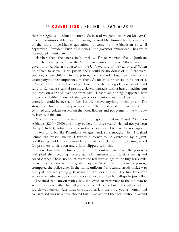than Mr Agha is – declined to attend. So instead we got a lecture on Mr Agha's love of constitutional law and human rights. And Mr Utunnu then received one of the more imperishable quotations to come from Afghanistan since 11 September: "President Bush of America," the governor announced, "has really appreciated Islamic law ..."

Harsher than the increasingly mellow Druze warrior Walid Jumblatt, infinitely more polite than the Serb mass murderer Ratko Mladic, was the governor of Kandahar trying to win the UN's warlord of the year award? When he offered to show us his prison, there could be no doubt of it. There were, perhaps, a few children in the prison, we were told, but they were merely accompanying their imprisoned mothers. As for child prisoners, think not of it.

So Mr Utunnu and his cortège drove through the fog of diesel smoke and sand to Kandahar's central prison, a rickety barracks with a heavy machine-gun mounted on a tripod over the front gate. "Unspeakable things happened here under the Taliban," one of the governor's minions muttered to me as we entered. I could believe it. In fact, I could believe anything in this prison. The stone floor had been newly scrubbed and the inmates sat in their bright little cells, red and golden carpets on the floor, flowers and pot plants in the window to keep out the sun.

"I've been here for three months," a smiling youth told me. "I stole 20 million Afghanis (£290 – \$360) and I may be here for three years." He had not yet been charged. In fact, virtually no one in the cells appeared to have been charged.

It was all a bit like Potemkin's villages. And, sure enough, when I walked behind the prison guards, I turned a corner to be overcome by a giant, overflowing midden, a common latrine with a single beam of glistening wood for prisoners to sit upon and a floor slippery with shit.

A few dozen metres further, I came to a courtyard in which the prisoners had piled their bedding: rotten, stained mattresses and plastic sheeting and soiled clothes. These, no doubt, were the real furnishings of the tiny brick cells. So who owned the red and golden carpets? "And now the women's prison," trumpeted the police chief in the tsarist uniform. Mr Utunnu strode inside – to find just four sad young girls sitting on the floor of a cell. The first two were wives – or rather widows – of the same husband they had allegedly just killed.

The third had run off with a boy she loved, in preference to the old man to whom her dead father had allegedly betrothed her at birth. The offence of the fourth was unclear. Just what constitutional law the third young woman had transgressed was never vouchsafed but I was assured that her boyfriend would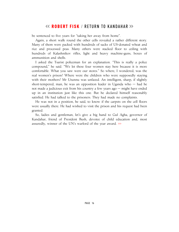be sentenced to five years for "taking her away from home".

Again, a short walk round the other cells revealed a rather different story. Many of them were packed with hundreds of sacks of US-donated wheat and rice and processed peas. Many others were stacked floor to ceiling with hundreds of Kalashnikov rifles, light and heavy machine-guns, boxes of ammunition and shells.

I asked the Tsarist policeman for an explanation. "This is really a police compound," he said. "We let these four women stay here because it is more comfortable. What you saw were our stores." So where, I wondered, was the real women's prison? Where were the children who were supposedly staying with their mothers? Mr Utunnu was unfazed. An intelligent, sharp, if slightly short-tempered, man, he was an opposition leader in Uganda who — had he not made a judicious exit from his country a few years ago — might have ended up in an institution just like this one. But he declared himself reasonably satisfied. He had talked to the prisoners. They had made no complaints.

He was not in a position, he said, to know if the carpets on the cell floors were usually there. He had wished to visit the prison and his request had been granted.

So, ladies and gentleman, let's give a big hand to Gul Agha, governor of Kandahar, friend of President Bush, devotee of child education and, most assuredly, winner of the UN's warlord of the year award.  $\gg$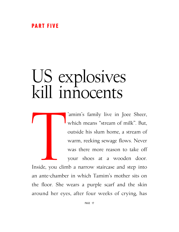### PART FIVE

### US explosives kill innocents



'amim's family live in Joee Sheer, which means "stream of milk". But, outside his slum home, a stream of warm, reeking sewage flows. Never was there more reason to take off your shoes at a wooden door.

Inside, you climb a narrow staircase and step into an ante-chamber in which Tamim's mother sits on the floor. She wears a purple scarf and the skin around her eyes, after four weeks of crying, has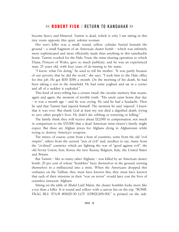become heavy and blistered. Tamim is dead; which is why I am sitting in this tiny room opposite this quiet, solemn woman.

Her son's killer was a small, round, yellow cylinder buried beneath the ground – a small fragment of an American cluster bomb – which was infinitely more sophisticated and more efficiently made than anything in this ramshackle home. Tamim worked for the Halo Trust, the mine-clearing operation to which Diana, Princess of Wales, gave so much publicity, and he was an experienced man, 25 years old, with four years of de-mining to his name.

"I know what I'm doing," he used to tell his mother. "It was partly because of our poverty that he did the work," she says. "I took him to the Halo office for this job. He got \$130 (£98) a month. On the morning of his death, he had been taking a rest in the minefield. He had some yoghurt and sat in a corner and all of a sudden it exploded."

This kind of story-telling has a certain ritual, the circular memory that recasts, again and again, the moment of terrible truth. "His uncle came home that day – it was a month ago – and he was crying. He said he had a headache. Then he said that Tamim had injured himself. The moment he said 'injured', I knew that it was over. But thank God at least my son died a dignified death, trying to save other people's lives. He didn't die robbing or torturing or killing."

The family think they will receive about £12,000 in compensation, not much in comparison to the £53,000 that a dead American mine-clearer's family might expect. But these are Afghan prices for Afghans dying in Afghanistan while trying to destroy America's weapons.

The mines, of course, come from a host of countries, some from the old "evil empire", others from the current "axis of evil" and, needless to say, many from the "civilised" countries which are fighting the war of "good against evil": the old Soviet Union, Iran, Korea, the new Russia, Belgium, Italy, the United States and Britain.

But Tamim – like so many other Afghans – was killed by an American cluster bomb, 20 per cent of whose "bomblets" bury themselves in the ground, turning themselves in a millisecond into a mine. When the Americans dropped this ordnance on the Taliban, they must have known this; they must have known that each of their missions in their "war on terror" would later cost the lives of countless innocent Afghans.

Sitting on the table of Abdul Latif Matin, the cluster bomblet looks more like a toy than a killer. It is round and yellow with a canvas fan on the top. "BOMB. FRAG BLU 97A/B 809420-30 LOT ATB92G109-001," is printed on the side.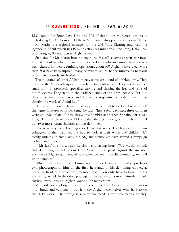BLU stands for Bomb Live Unit and 202 of these little murderers are inside each 430kg CBU – Combined Effects Munition – dropped by American planes.

Mr Matin is a regional manager for the UN Mine Clearing and Planning Agency in Kabul which has 15 mine-action organisations – including Halo – coordinating 4,700 staff across Afghanistan.

Statistics, for Mr Matin, bear no emotions. His office covers seven provinces around Kabul in which 1.1 million unexploded bombs and mines have already been cleared. In these de-mining operations, about 100 Afghans have died. More than 500 have been injured, many of whom return to the minefields to work once their wounds are healed.

The thousands of other Afghan mine victims are a kind of limbless army. They queue at the Mirweis hospital in Kandahar for artificial legs. They watch another small army of prosthesis specialists carving and shaping the legs and arms of future victims. They stand in the darkened ruins of this grim, hot city. But it is the cluster bomb – the newest and deadliest of Afghanistan's hidden mines – that absorbs the work of Abdul Latif.

"The coalition forces claimed that only 5 per cent fail to explode but we think the figure is nearer to 15 per cent," he says. "Just a few days ago, three children were wounded. One of them threw this bomblet at another. She thought it was a toy. The trouble with the BLUs is that they go underground – they caused our two most recent fatalities among de-miners.

"I've seen very, very bad tragedies. I have taken the dead bodies of my own colleagues to their families. I've had to look at their wives and children. It's totally unfair and that's why the Afghans themselves have started a campaign to ban landmines."

If Mr Latif is a bureaucrat, he also has a strong heart. "We Muslims think that de-mining is part of our Holy War – it's a 'jihad' against the invisible enemies of Afghanistan. Yes, of course, we believe if we die de-mining, we will go to paradise."

Which is hopefully where Tamim now resides. His solemn mother produces two photographs of him. In the first, he stands in his de-mining clothes, at home, in front of a net curtain, bearded and – you only have to look into his eyes – frightened. In the other photograph, he stands on a mountainside in dark clothes, every inch an Afghan waiting for martyrdom.

Mr Latif acknowledges that mine producers have helped his organisation with funds and equipment. But it is the Afghans themselves who have to do the dirty work. "The strongest support we need is for these people to stop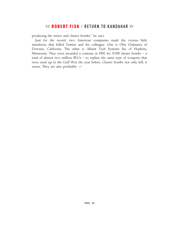producing the mines and cluster bombs," he says.

Just for the record, two American companies made the vicious little munitions that killed Tamim and his colleague. One is Olin Ordnance of Downey, California. The other is Alliant Tech Systems Inc of Hopkins, Minnesota. They were awarded a contract in 1992 for 9,598 cluster bombs – a total of almost two million BLUs – to replace the same type of weapons that were used up in the Gulf War the year before. Cluster bombs not only kill, it seems. They are also profitable. >>>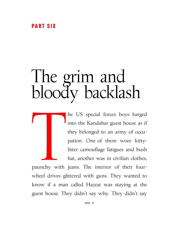# The grim and bloody backlash



guest house. They didn't say why. They didn't say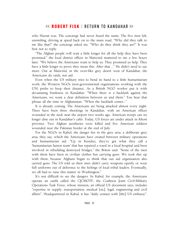who Hazrat was. The concierge had never heard the name. The five men left, unsmiling, driving at speed back on to the main road. "Why did they talk to me like that?" the concierge asked me. "Who do they think they are?" It was best not to reply.

"The Afghan people will wait a little longer for all the help they have been promised," the local district officer in Maiwind muttered to me a few hours later. "We believe the Americans want to help us. They promised us help. They have a little longer to prove they mean this. After that ..." He didn't need to say more. Out at Maiwind, in the oven-like grey desert west of Kandahar, the Americans do raids, not aid.

Even when the US military tries to bend its hand to a little humanitarian work, the Western NGOs (non-governmental organisations working with the UN) prefer to keep their distance. As a British NGO worker put it with devastating frankness in Kandahar: "When there is a backlash against the Americans, we want a clear definition between us and them." You hear that phrase all the time in Afghanistan. "When the backlash comes..."

It is already coming. The Americans are being attacked almost every night. There have been three shootings in Kandahar, with an American officer wounded in the neck near the airport two weeks ago. American troops can no longer dine out in Kandahar's cafés. Today, US forces are under attack in Khost province. Two Afghan auxiliaries were killed and five American soldiers wounded near the Pakistan border at the end of July.

For the NGOs in Kabul, the danger lies in the grey area, a deliberate grey area, they say, which the Americans have created between military operations and humanitarian aid. "Up in Kunduz, they've got what they call a 'humanitarian liaison team' that has repaired a ward in a local hospital and been involved in rebuilding destroyed bridges," the Briton said. "Some of the men with them have been in civilian clothes but carrying guns. We took this up with them, because Afghans began to think that our aid organisation also carried guns. The US told us their men didn't carry weapons openly or wear full uniforms out of deference to the feelings of local tribal leaders. Eventually, we all had to raise this matter in Washington."

It's not difficult to see the dangers. In Kabul, for example, the Americans operate an outfit called the CJCMOTF, the Coalition Joint Civil-Military Operations Task Force, whose mission, an official US document says, includes "expertise in supply, transportation, medical [sic], legal, engineering and civil affairs". Headquartered in Kabul, it has "daily contact with [the] US embassy".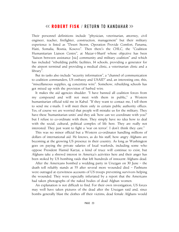Their personnel definitions include "physician, veterinarian, attorney, civil engineer, teacher, firefighter, construction, management" but their military experience is listed as "Desert Storm, Operation Provide Comfort, Panama, Haiti, Somalia, Bosnia, Kosovo". Then there's the CHLC, the "Coalition Humanitarian Liaison Centre", at Mazar-i-Sharif whose objective has been "liaison between assistance [sic] community and military coalition" and which has included "rebuilding public facilities, 14 schools, providing a generator for the airport terminal and providing a medical clinic, a veterinarian clinic and a library".

But its tasks also include "security information", a "channel of communication to coalition commanders, US embassy and USAID" and, an interesting one, this, "miscellaneous supplies, eg concertina wire". Somehow, rebuilding schools has got mixed up with the provision of barbed wire.

It makes the aid agencies shudder. "I have banned all coalition forces from my compound and will not meet with them in public," a Western humanitarian official told me in Kabul. "If they want to contact me, I tell them to send me e-mails. I will meet them only in certain public authority offices. Yes, of course we are worried that people will mistake us for the military. They have these 'humanitarian units' and they ask 'how can we coordinate with you?' but I refuse to co-ordinate with them. They simply have no idea how to deal with the social, cultural, political complex of life here. They are really not interested. They just want to fight a 'war on terror'. I don't think they care."

This was no minor official but a Western co-ordinator handling millions of dollars of international aid. He knows, as do his staff, how angry Afghans are becoming at the growing US presence in their country. As long as Washington goes on paying the private salaries of local warlords, including some who oppose President Hamid Karzai, a kind of truce will continue to exist, but Afghans take a shrewd interest in America's activities here and their anger has been stoked by US bombing raids that left hundreds of innocent Afghans dead.

After the Americans bombed a wedding party in Uruzgan on 30 June – the death toll reliably stands at 55 after several more wounded died – Pashtuns were outraged at eyewitness accounts of US troops preventing survivors helping the wounded. They were especially infuriated by a report that the Americans had taken photographs of the naked bodies of dead Afghan women.

An explanation is not difficult to find. For their own investigation, US forces may well have taken pictures of the dead after the Uruzgan raid and, since bombs generally blast the clothes off their victims, dead female Afghans would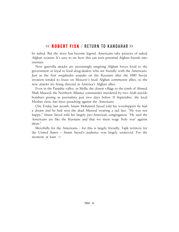be naked. But the story has become legend. Americans take pictures of naked Afghan women. It's easy to see how this can turn potential Afghan friends into enemies.

Now guerrilla attacks are increasingly targeting Afghan forces loyal to the government or loyal to local drug-dealers who are friendly with the Americans. Just as the first mujahedin assaults on the Russians after the 1980 Soviet invasion tended to focus on Moscow's local Afghan communist allies, so the new attacks are being directed at America's Afghan allies.

Even in the Panjshir valley, in Molla, the closest village to the tomb of Ahmed Shah Masood, the Northern Alliance commander murdered by two Arab suicide bombers posing as journalists just two days before 11 September, the local Muslim cleric has been preaching against the Americans.

One Friday last month, Imam Mohamed Sayed told his worshippers he had a dream and he had seen the dead Masood wearing a sad face. "He was not happy," Imam Sayed told his largely pro-American congregation. "He said the Americans are like the Russians and that we must wage 'holy war' against them."

Mercifully for the Americans – for this is largely friendly, Tajik territory for the United States – Imam Sayed's audience was largely unmoved. For the moment, at least. >>>